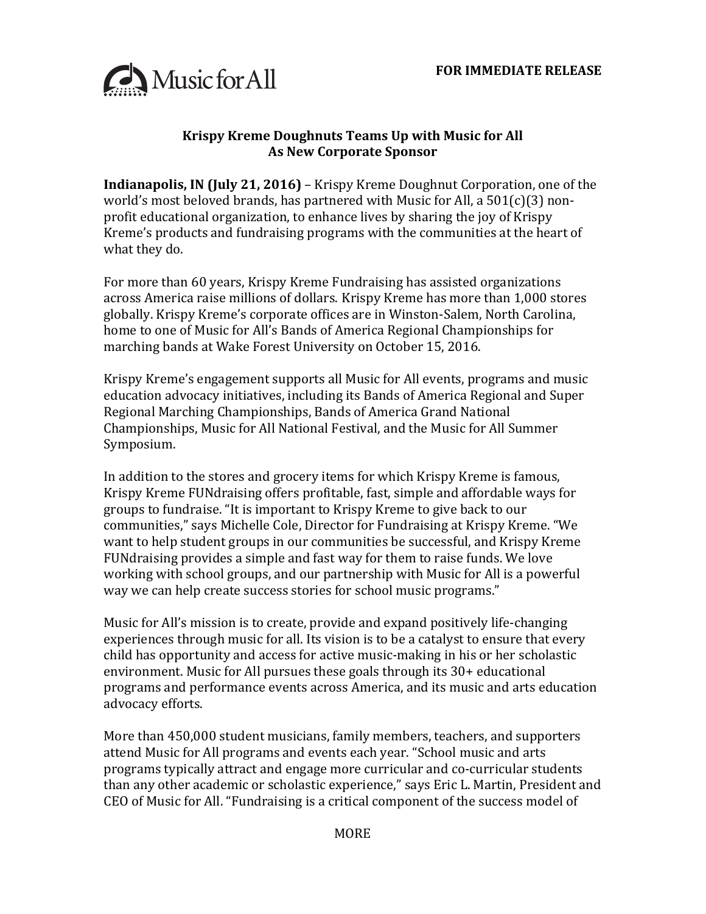

## **Krispy Kreme Doughnuts Teams Up with Music for All As New Corporate Sponsor**

**Indianapolis, IN (July 21, 2016)** – Krispy Kreme Doughnut Corporation, one of the world's most beloved brands, has partnered with Music for All, a  $501(c)(3)$  nonprofit educational organization, to enhance lives by sharing the joy of Krispy Kreme's products and fundraising programs with the communities at the heart of what they do.

For more than 60 years, Krispy Kreme Fundraising has assisted organizations across America raise millions of dollars. Krispy Kreme has more than 1,000 stores globally. Krispy Kreme's corporate offices are in Winston-Salem, North Carolina, home to one of Music for All's Bands of America Regional Championships for marching bands at Wake Forest University on October 15, 2016.

Krispy Kreme's engagement supports all Music for All events, programs and music education advocacy initiatives, including its Bands of America Regional and Super Regional Marching Championships, Bands of America Grand National Championships, Music for All National Festival, and the Music for All Summer Symposium.

In addition to the stores and grocery items for which Krispy Kreme is famous, Krispy Kreme FUNdraising offers profitable, fast, simple and affordable ways for groups to fundraise. "It is important to Krispy Kreme to give back to our communities," says Michelle Cole, Director for Fundraising at Krispy Kreme. "We want to help student groups in our communities be successful, and Krispy Kreme FUNdraising provides a simple and fast way for them to raise funds. We love working with school groups, and our partnership with Music for All is a powerful way we can help create success stories for school music programs."

Music for All's mission is to create, provide and expand positively life-changing experiences through music for all. Its vision is to be a catalyst to ensure that every child has opportunity and access for active music-making in his or her scholastic environment. Music for All pursues these goals through its  $30+$  educational programs and performance events across America, and its music and arts education advocacy efforts.

More than 450,000 student musicians, family members, teachers, and supporters attend Music for All programs and events each year. "School music and arts programs typically attract and engage more curricular and co-curricular students than any other academic or scholastic experience," says Eric L. Martin, President and CEO of Music for All. "Fundraising is a critical component of the success model of